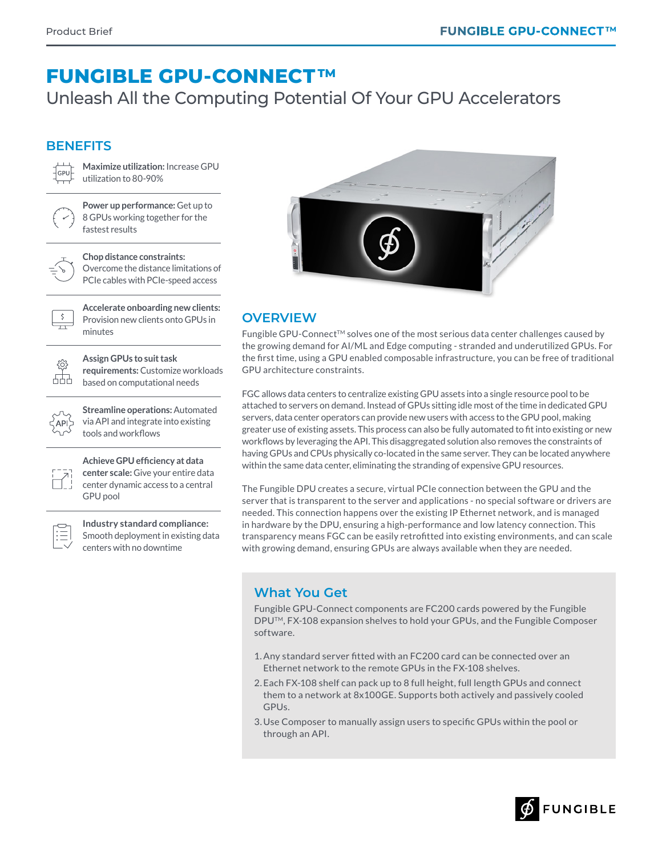# **FUNGIBLE GPU-CONNECT TM**

Unleash All the Computing Potential Of Your GPU Accelerators

### **BENEFITS**



**Maximize utilization:** Increase GPU utilization to 80-90%



**Power up performance:** Get up to 8 GPUs working together for the fastest results

**Chop distance constraints:**  Overcome the distance limitations of PCIe cables with PCIe-speed access



**Accelerate onboarding new clients:**  Provision new clients onto GPUs in minutes



**Assign GPUs to suit task requirements:** Customize workloads based on computational needs

API

**Streamline operations:** Automated via API and integrate into existing tools and workflows



**Achieve GPU efficiency at data center scale:** Give your entire data center dynamic access to a central GPU pool



**Industry standard compliance:**  Smooth deployment in existing data centers with no downtime



## **OVERVIEW**

Fungible GPU-Connect<sup>TM</sup> solves one of the most serious data center challenges caused by the growing demand for AI/ML and Edge computing - stranded and underutilized GPUs. For the first time, using a GPU enabled composable infrastructure, you can be free of traditional GPU architecture constraints.

FGC allows data centers to centralize existing GPU assets into a single resource pool to be attached to servers on demand. Instead of GPUs sitting idle most of the time in dedicated GPU servers, data center operators can provide new users with access to the GPU pool, making greater use of existing assets. This process can also be fully automated to fit into existing or new workflows by leveraging the API. This disaggregated solution also removes the constraints of having GPUs and CPUs physically co-located in the same server. They can be located anywhere within the same data center, eliminating the stranding of expensive GPU resources.

The Fungible DPU creates a secure, virtual PCIe connection between the GPU and the server that is transparent to the server and applications - no special software or drivers are needed. This connection happens over the existing IP Ethernet network, and is managed in hardware by the DPU, ensuring a high-performance and low latency connection. This transparency means FGC can be easily retrofitted into existing environments, and can scale with growing demand, ensuring GPUs are always available when they are needed.

## **What You Get**

Fungible GPU-Connect components are FC200 cards powered by the Fungible DPUTM, FX-108 expansion shelves to hold your GPUs, and the Fungible Composer software.

- 1.Any standard server fitted with an FC200 card can be connected over an Ethernet network to the remote GPUs in the FX-108 shelves.
- 2.Each FX-108 shelf can pack up to 8 full height, full length GPUs and connect them to a network at 8x100GE. Supports both actively and passively cooled GPUs.
- 3.Use Composer to manually assign users to specific GPUs within the pool or through an API.